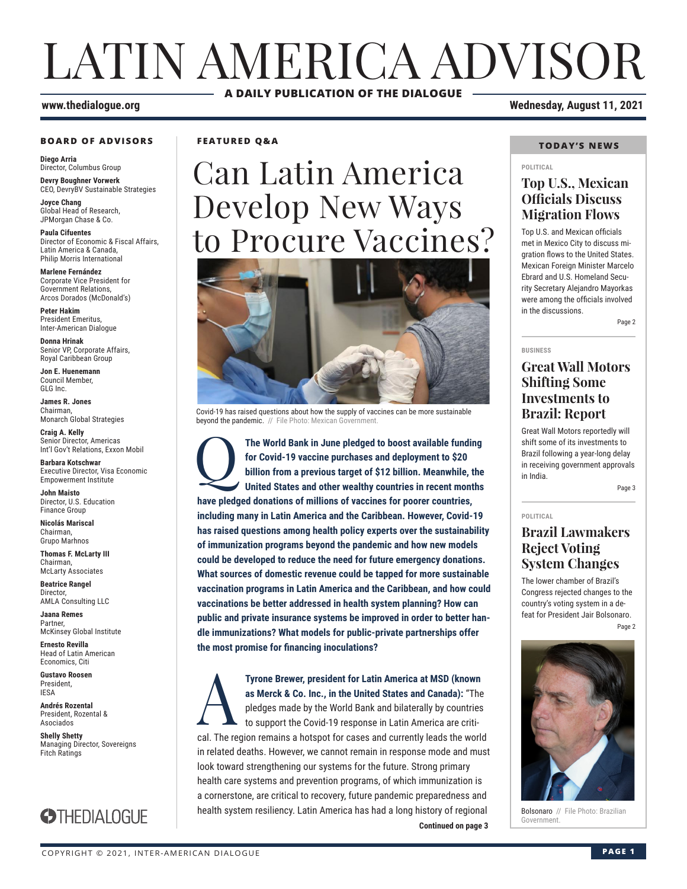# LATIN AMERICA ADVISOR **A DAILY PUBLICATION OF THE DIALOGUE**

#### **BOARD OF ADVISORS**

**Diego Arria** Director, Columbus Group **Devry Boughner Vorwerk**

CEO, DevryBV Sustainable Strategies **Joyce Chang**

Global Head of Research, JPMorgan Chase & Co.

**Paula Cifuentes** Director of Economic & Fiscal Affairs, Latin America & Canada, Philip Morris International

**Marlene Fernández** Corporate Vice President for Government Relations, Arcos Dorados (McDonald's)

**Peter Hakim** President Emeritus, Inter-American Dialogue

**Donna Hrinak** Senior VP, Corporate Affairs, Royal Caribbean Group

**Jon E. Huenemann** Council Member, GLG Inc.

**James R. Jones** Chairman, Monarch Global Strategies

**Craig A. Kelly** Senior Director, Americas Int'l Gov't Relations, Exxon Mobil

**Barbara Kotschwar** Executive Director, Visa Economic Empowerment Institute

**John Maisto** Director, U.S. Education Finance Group

**Nicolás Mariscal** Chairman, Grupo Marhnos

**Thomas F. McLarty III** Chairman, McLarty Associates

**Beatrice Rangel**  Director, AMLA Consulting LLC

**Jaana Remes** Partner, McKinsey Global Institute

**Ernesto Revilla**  Head of Latin American Economics, Citi

**Gustavo Roosen** President, IESA

**Andrés Rozental**  President, Rozental & Asociados

**Shelly Shetty** Managing Director, Sovereigns Fitch Ratings



**FEATURED Q&A**

# Can Latin America Develop New Ways to Procure Vaccines?



Covid-19 has raised questions about how the supply of vaccines can be more sustainable beyond the pandemic. // File Photo: Mexican Government

Q**The World Bank in June pledged to boost available funding for Covid-19 vaccine purchases and deployment to \$20 billion from a previous target of \$12 billion. Meanwhile, the United States and other wealthy countries in recent months have pledged donations of millions of vaccines for poorer countries, including many in Latin America and the Caribbean. However, Covid-19 has raised questions among health policy experts over the sustainability of immunization programs beyond the pandemic and how new models could be developed to reduce the need for future emergency donations. What sources of domestic revenue could be tapped for more sustainable vaccination programs in Latin America and the Caribbean, and how could vaccinations be better addressed in health system planning? How can public and private insurance systems be improved in order to better handle immunizations? What models for public-private partnerships offer the most promise for financing inoculations?**

**Continued on page 3 Continued on page 3 Tyrone Brewer, president for Latin America at MSD (known as Merck & Co. Inc., in the United States and Canada): "The pledges made by the World Bank and bilaterally by countries to support the Covid-19 response in Latin Am as Merck & Co. Inc., in the United States and Canada):** "The pledges made by the World Bank and bilaterally by countries to support the Covid-19 response in Latin America are critical. The region remains a hotspot for cases and currently leads the world in related deaths. However, we cannot remain in response mode and must look toward strengthening our systems for the future. Strong primary health care systems and prevention programs, of which immunization is a cornerstone, are critical to recovery, future pandemic preparedness and health system resiliency. Latin America has had a long history of regional

**www.thedialogue.org Wednesday, August 11, 2021**

#### **TODAY'S NEWS**

#### **POLITICAL**

#### **Top U.S., Mexican Officials Discuss Migration Flows**

Top U.S. and Mexican officials met in Mexico City to discuss migration flows to the United States. Mexican Foreign Minister Marcelo Ebrard and U.S. Homeland Security Secretary Alejandro Mayorkas were among the officials involved in the discussions.

Page 2

#### **BUSINESS**

#### **Great Wall Motors Shifting Some Investments to Brazil: Report**

Great Wall Motors reportedly will shift some of its investments to Brazil following a year-long delay in receiving government approvals in India.

Page 3

#### **POLITICAL Brazil Lawmakers Reject Voting System Changes**

The lower chamber of Brazil's Congress rejected changes to the country's voting system in a defeat for President Jair Bolsonaro. Page 2



Bolsonaro // File Photo: Brazilian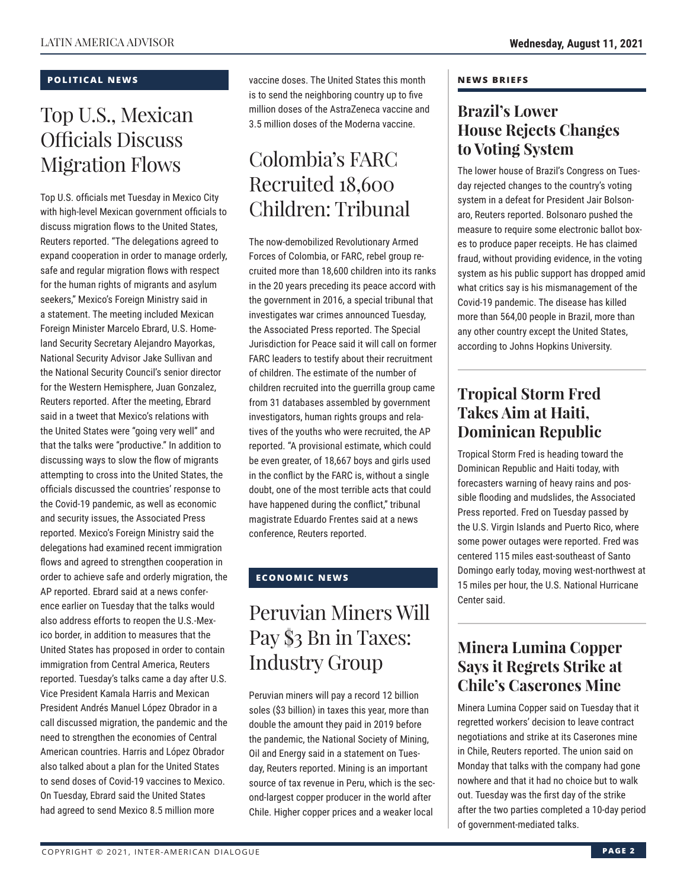#### **POLITICAL NEWS**

### Top U.S., Mexican Officials Discuss Migration Flows

Top U.S. officials met Tuesday in Mexico City with high-level Mexican government officials to discuss migration flows to the United States, Reuters reported. "The delegations agreed to expand cooperation in order to manage orderly, safe and regular migration flows with respect for the human rights of migrants and asylum seekers," Mexico's Foreign Ministry said in a statement. The meeting included Mexican Foreign Minister Marcelo Ebrard, U.S. Homeland Security Secretary Alejandro Mayorkas, National Security Advisor Jake Sullivan and the National Security Council's senior director for the Western Hemisphere, Juan Gonzalez, Reuters reported. After the meeting, Ebrard said in a tweet that Mexico's relations with the United States were "going very well" and that the talks were "productive." In addition to discussing ways to slow the flow of migrants attempting to cross into the United States, the officials discussed the countries' response to the Covid-19 pandemic, as well as economic and security issues, the Associated Press reported. Mexico's Foreign Ministry said the delegations had examined recent immigration flows and agreed to strengthen cooperation in order to achieve safe and orderly migration, the AP reported. Ebrard said at a news conference earlier on Tuesday that the talks would also address efforts to reopen the U.S.-Mexico border, in addition to measures that the United States has proposed in order to contain immigration from Central America, Reuters reported. Tuesday's talks came a day after U.S. Vice President Kamala Harris and Mexican President Andrés Manuel López Obrador in a call discussed migration, the pandemic and the need to strengthen the economies of Central American countries. Harris and López Obrador also talked about a plan for the United States to send doses of Covid-19 vaccines to Mexico. On Tuesday, Ebrard said the United States had agreed to send Mexico 8.5 million more

vaccine doses. The United States this month is to send the neighboring country up to five million doses of the AstraZeneca vaccine and 3.5 million doses of the Moderna vaccine.

### Colombia's FARC Recruited 18,600 Children: Tribunal

The now-demobilized Revolutionary Armed Forces of Colombia, or FARC, rebel group recruited more than 18,600 children into its ranks in the 20 years preceding its peace accord with the government in 2016, a special tribunal that investigates war crimes announced Tuesday, the Associated Press reported. The Special Jurisdiction for Peace said it will call on former FARC leaders to testify about their recruitment of children. The estimate of the number of children recruited into the guerrilla group came from 31 databases assembled by government investigators, human rights groups and relatives of the youths who were recruited, the AP reported. "A provisional estimate, which could be even greater, of 18,667 boys and girls used in the conflict by the FARC is, without a single doubt, one of the most terrible acts that could have happened during the conflict," tribunal magistrate Eduardo Frentes said at a news conference, Reuters reported.

#### **ECONOMIC NEWS**

## Peruvian Miners Will Pay \$3 Bn in Taxes: Industry Group

Peruvian miners will pay a record 12 billion soles (\$3 billion) in taxes this year, more than double the amount they paid in 2019 before the pandemic, the National Society of Mining, Oil and Energy said in a statement on Tuesday, Reuters reported. Mining is an important source of tax revenue in Peru, which is the second-largest copper producer in the world after Chile. Higher copper prices and a weaker local

#### **NEWS BRIEFS**

#### **Brazil's Lower House Rejects Changes to Voting System**

The lower house of Brazil's Congress on Tuesday rejected changes to the country's voting system in a defeat for President Jair Bolsonaro, Reuters reported. Bolsonaro pushed the measure to require some electronic ballot boxes to produce paper receipts. He has claimed fraud, without providing evidence, in the voting system as his public support has dropped amid what critics say is his mismanagement of the Covid-19 pandemic. The disease has killed more than 564,00 people in Brazil, more than any other country except the United States, according to Johns Hopkins University.

### **Tropical Storm Fred Takes Aim at Haiti, Dominican Republic**

Tropical Storm Fred is heading toward the Dominican Republic and Haiti today, with forecasters warning of heavy rains and possible flooding and mudslides, the Associated Press reported. Fred on Tuesday passed by the U.S. Virgin Islands and Puerto Rico, where some power outages were reported. Fred was centered 115 miles east-southeast of Santo Domingo early today, moving west-northwest at 15 miles per hour, the U.S. National Hurricane Center said.

### **Minera Lumina Copper Says it Regrets Strike at Chile's Caserones Mine**

Minera Lumina Copper said on Tuesday that it regretted workers' decision to leave contract negotiations and strike at its Caserones mine in Chile, Reuters reported. The union said on Monday that talks with the company had gone nowhere and that it had no choice but to walk out. Tuesday was the first day of the strike after the two parties completed a 10-day period of government-mediated talks.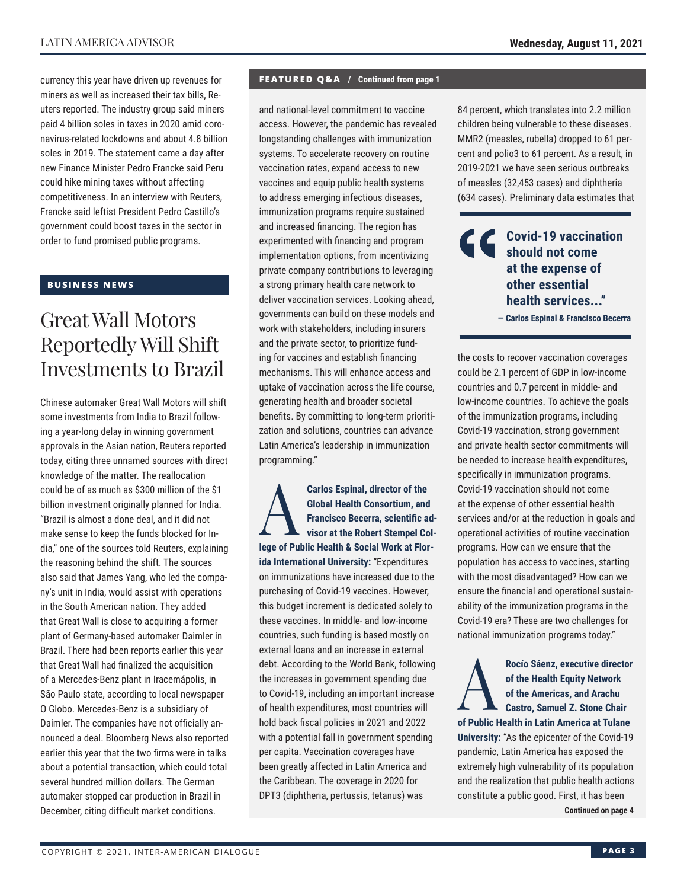currency this year have driven up revenues for miners as well as increased their tax bills, Reuters reported. The industry group said miners paid 4 billion soles in taxes in 2020 amid coronavirus-related lockdowns and about 4.8 billion soles in 2019. The statement came a day after new Finance Minister Pedro Francke said Peru could hike mining taxes without affecting competitiveness. In an interview with Reuters, Francke said leftist President Pedro Castillo's government could boost taxes in the sector in order to fund promised public programs.

#### **BUSINESS NEWS**

### Great Wall Motors Reportedly Will Shift Investments to Brazil

Chinese automaker Great Wall Motors will shift some investments from India to Brazil following a year-long delay in winning government approvals in the Asian nation, Reuters reported today, citing three unnamed sources with direct knowledge of the matter. The reallocation could be of as much as \$300 million of the \$1 billion investment originally planned for India. "Brazil is almost a done deal, and it did not make sense to keep the funds blocked for India," one of the sources told Reuters, explaining the reasoning behind the shift. The sources also said that James Yang, who led the company's unit in India, would assist with operations in the South American nation. They added that Great Wall is close to acquiring a former plant of Germany-based automaker Daimler in Brazil. There had been reports earlier this year that Great Wall had finalized the acquisition of a Mercedes-Benz plant in Iracemápolis, in São Paulo state, according to local newspaper O Globo. Mercedes-Benz is a subsidiary of Daimler. The companies have not officially announced a deal. Bloomberg News also reported earlier this year that the two firms were in talks about a potential transaction, which could total several hundred million dollars. The German automaker stopped car production in Brazil in December, citing difficult market conditions.

#### **FEATURED Q&A / Continued from page 1**

and national-level commitment to vaccine access. However, the pandemic has revealed longstanding challenges with immunization systems. To accelerate recovery on routine vaccination rates, expand access to new vaccines and equip public health systems to address emerging infectious diseases, immunization programs require sustained and increased financing. The region has experimented with financing and program implementation options, from incentivizing private company contributions to leveraging a strong primary health care network to deliver vaccination services. Looking ahead, governments can build on these models and work with stakeholders, including insurers and the private sector, to prioritize funding for vaccines and establish financing mechanisms. This will enhance access and uptake of vaccination across the life course, generating health and broader societal benefits. By committing to long-term prioritization and solutions, countries can advance Latin America's leadership in immunization programming."

Carlos Espinal, director of the<br>
Global Health Consortium, and<br>
Francisco Becerra, scientific a<br>
visor at the Robert Stempel Co<br> **Carlos Consortium Global Health Consortium, and Francisco Becerra, scientific advisor at the Robert Stempel College of Public Health & Social Work at Florida International University:** "Expenditures on immunizations have increased due to the purchasing of Covid-19 vaccines. However, this budget increment is dedicated solely to these vaccines. In middle- and low-income countries, such funding is based mostly on external loans and an increase in external debt. According to the World Bank, following the increases in government spending due to Covid-19, including an important increase of health expenditures, most countries will hold back fiscal policies in 2021 and 2022 with a potential fall in government spending per capita. Vaccination coverages have been greatly affected in Latin America and the Caribbean. The coverage in 2020 for DPT3 (diphtheria, pertussis, tetanus) was

84 percent, which translates into 2.2 million children being vulnerable to these diseases. MMR2 (measles, rubella) dropped to 61 percent and polio3 to 61 percent. As a result, in 2019-2021 we have seen serious outbreaks of measles (32,453 cases) and diphtheria (634 cases). Preliminary data estimates that

#### **Covid-19 vaccination should not come at the expense of other essential health services..."**

**— Carlos Espinal & Francisco Becerra**

the costs to recover vaccination coverages could be 2.1 percent of GDP in low-income countries and 0.7 percent in middle- and low-income countries. To achieve the goals of the immunization programs, including Covid-19 vaccination, strong government and private health sector commitments will be needed to increase health expenditures, specifically in immunization programs. Covid-19 vaccination should not come at the expense of other essential health services and/or at the reduction in goals and operational activities of routine vaccination programs. How can we ensure that the population has access to vaccines, starting with the most disadvantaged? How can we ensure the financial and operational sustainability of the immunization programs in the Covid-19 era? These are two challenges for national immunization programs today."

Rocío Sáenz, executive director<br>
of the Health Equity Network<br>
of the Americas, and Arachu<br>
Castro, Samuel Z. Stone Chair<br>
of Public Hoalth in Latin America at Tulano **of the Health Equity Network of the Americas, and Arachu Castro, Samuel Z. Stone Chair of Public Health in Latin America at Tulane University:** "As the epicenter of the Covid-19 pandemic, Latin America has exposed the

extremely high vulnerability of its population and the realization that public health actions constitute a public good. First, it has been

**Continued on page 4**